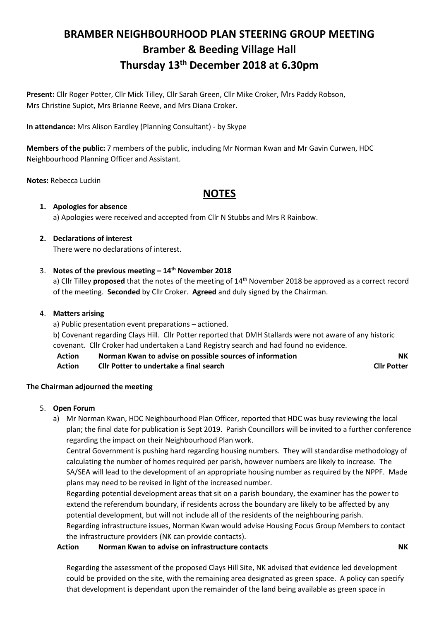# **BRAMBER NEIGHBOURHOOD PLAN STEERING GROUP MEETING Bramber & Beeding Village Hall Thursday 13th December 2018 at 6.30pm**

**Present:** Cllr Roger Potter, Cllr Mick Tilley, Cllr Sarah Green, Cllr Mike Croker, Mrs Paddy Robson, Mrs Christine Supiot, Mrs Brianne Reeve, and Mrs Diana Croker.

**In attendance:** Mrs Alison Eardley (Planning Consultant) - by Skype

**Members of the public:** 7 members of the public, including Mr Norman Kwan and Mr Gavin Curwen, HDC Neighbourhood Planning Officer and Assistant.

**Notes:** Rebecca Luckin

## **NOTES**

### **1. Apologies for absence**

a) Apologies were received and accepted from Cllr N Stubbs and Mrs R Rainbow.

### **2. Declarations of interest**

There were no declarations of interest.

### 3. **Notes of the previous meeting – 14th November 2018**

a) Cllr Tilley **proposed** that the notes of the meeting of 14th November 2018 be approved as a correct record of the meeting. **Seconded** by Cllr Croker. **Agreed** and duly signed by the Chairman.

### 4. **Matters arising**

a) Public presentation event preparations – actioned.

b) Covenant regarding Clays Hill. Cllr Potter reported that DMH Stallards were not aware of any historic covenant. Cllr Croker had undertaken a Land Registry search and had found no evidence.

**Action Norman Kwan to advise on possible sources of information NK Action Cllr Potter to undertake a final search Cllr Potter**

### **The Chairman adjourned the meeting**

- 5. **Open Forum**
	- a) Mr Norman Kwan, HDC Neighbourhood Plan Officer, reported that HDC was busy reviewing the local plan; the final date for publication is Sept 2019. Parish Councillors will be invited to a further conference regarding the impact on their Neighbourhood Plan work.

Central Government is pushing hard regarding housing numbers. They will standardise methodology of calculating the number of homes required per parish, however numbers are likely to increase. The SA/SEA will lead to the development of an appropriate housing number as required by the NPPF. Made plans may need to be revised in light of the increased number.

Regarding potential development areas that sit on a parish boundary, the examiner has the power to extend the referendum boundary, if residents across the boundary are likely to be affected by any potential development, but will not include all of the residents of the neighbouring parish. Regarding infrastructure issues, Norman Kwan would advise Housing Focus Group Members to contact the infrastructure providers (NK can provide contacts).

### **Action Norman Kwan to advise on infrastructure contacts NK**

Regarding the assessment of the proposed Clays Hill Site, NK advised that evidence led development could be provided on the site, with the remaining area designated as green space. A policy can specify that development is dependant upon the remainder of the land being available as green space in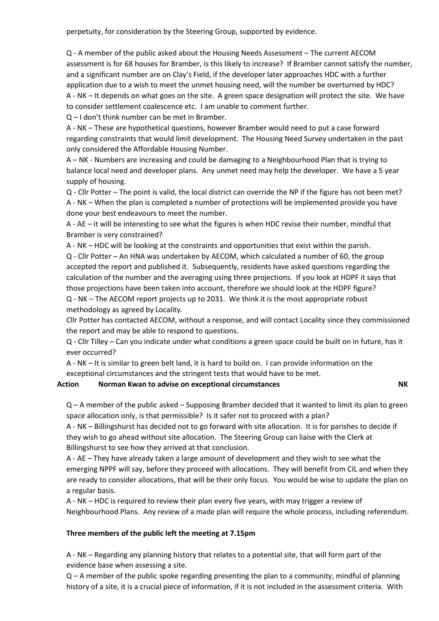perpetuity, for consideration by the Steering Group, supported by evidence.

Q - A member of the public asked about the Housing Needs Assessment – The current AECOM assessment is for 68 houses for Bramber, is this likely to increase? If Bramber cannot satisfy the number, and a significant number are on Clay's Field, if the developer later approaches HDC with a further application due to a wish to meet the unmet housing need, will the number be overturned by HDC? A - NK – It depends on what goes on the site. A green space designation will protect the site. We have to consider settlement coalescence etc. I am unable to comment further.

Q – I don't think number can be met in Bramber.

A - NK – These are hypothetical questions, however Bramber would need to put a case forward regarding constraints that would limit development. The Housing Need Survey undertaken in the past only considered the Affordable Housing Number.

A – NK - Numbers are increasing and could be damaging to a Neighbourhood Plan that is trying to balance local need and developer plans. Any unmet need may help the developer. We have a 5 year supply of housing.

Q - Cllr Potter – The point is valid, the local district can override the NP if the figure has not been met? A - NK – When the plan is completed a number of protections will be implemented provide you have done your best endeavours to meet the number.

A - AE – it will be interesting to see what the figures is when HDC revise their number, mindful that Bramber is very constrained?

A - NK – HDC will be looking at the constraints and opportunities that exist within the parish. Q - Cllr Potter – An HNA was undertaken by AECOM, which calculated a number of 60, the group accepted the report and published it. Subsequently, residents have asked questions regarding the calculation of the number and the averaging using three projections. If you look at HDPF it says that those projections have been taken into account, therefore we should look at the HDPF figure? Q - NK – The AECOM report projects up to 2031. We think it is the most appropriate robust methodology as agreed by Locality.

Cllr Potter has contacted AECOM, without a response, and will contact Locality since they commissioned the report and may be able to respond to questions.

Q - Cllr Tilley – Can you indicate under what conditions a green space could be built on in future, has it ever occurred?

A - NK – It is similar to green belt land, it is hard to build on. I can provide information on the exceptional circumstances and the stringent tests that would have to be met.

### **Action •• Norman Kwan to advise on exceptional circumstances NK**

Q – A member of the public asked – Supposing Bramber decided that it wanted to limit its plan to green space allocation only, is that permissible? Is it safer not to proceed with a plan?

A - NK – Billingshurst has decided not to go forward with site allocation. It is for parishes to decide if they wish to go ahead without site allocation. The Steering Group can liaise with the Clerk at Billingshurst to see how they arrived at that conclusion.

A - AE – They have already taken a large amount of development and they wish to see what the emerging NPPF will say, before they proceed with allocations. They will benefit from CIL and when they are ready to consider allocations, that will be their only focus. You would be wise to update the plan on a regular basis.

A - NK – HDC is required to review their plan every five years, with may trigger a review of Neighbourhood Plans. Any review of a made plan will require the whole process, including referendum.

### **Three members of the public left the meeting at 7.15pm**

A - NK – Regarding any planning history that relates to a potential site, that will form part of the evidence base when assessing a site.

Q – A member of the public spoke regarding presenting the plan to a community, mindful of planning history of a site, it is a crucial piece of information, if it is not included in the assessment criteria. With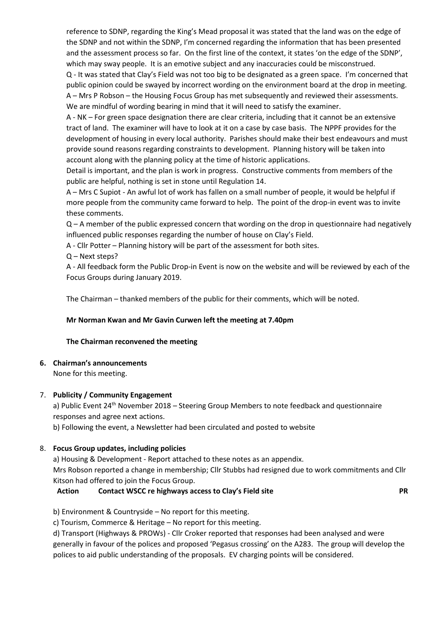reference to SDNP, regarding the King's Mead proposal it was stated that the land was on the edge of the SDNP and not within the SDNP, I'm concerned regarding the information that has been presented and the assessment process so far. On the first line of the context, it states 'on the edge of the SDNP', which may sway people. It is an emotive subject and any inaccuracies could be misconstrued. Q - It was stated that Clay's Field was not too big to be designated as a green space. I'm concerned that public opinion could be swayed by incorrect wording on the environment board at the drop in meeting. A – Mrs P Robson – the Housing Focus Group has met subsequently and reviewed their assessments. We are mindful of wording bearing in mind that it will need to satisfy the examiner.

A - NK – For green space designation there are clear criteria, including that it cannot be an extensive tract of land. The examiner will have to look at it on a case by case basis. The NPPF provides for the development of housing in every local authority. Parishes should make their best endeavours and must provide sound reasons regarding constraints to development. Planning history will be taken into account along with the planning policy at the time of historic applications.

Detail is important, and the plan is work in progress. Constructive comments from members of the public are helpful, nothing is set in stone until Regulation 14.

A – Mrs C Supiot - An awful lot of work has fallen on a small number of people, it would be helpful if more people from the community came forward to help. The point of the drop-in event was to invite these comments.

Q – A member of the public expressed concern that wording on the drop in questionnaire had negatively influenced public responses regarding the number of house on Clay's Field.

A - Cllr Potter – Planning history will be part of the assessment for both sites.

Q – Next steps?

A - All feedback form the Public Drop-in Event is now on the website and will be reviewed by each of the Focus Groups during January 2019.

The Chairman – thanked members of the public for their comments, which will be noted.

### **Mr Norman Kwan and Mr Gavin Curwen left the meeting at 7.40pm**

### **The Chairman reconvened the meeting**

### **6. Chairman's announcements**

None for this meeting.

### 7. **Publicity / Community Engagement**

a) Public Event 24<sup>th</sup> November 2018 – Steering Group Members to note feedback and questionnaire responses and agree next actions.

b) Following the event, a Newsletter had been circulated and posted to website

### 8. **Focus Group updates, including policies**

a) Housing & Development - Report attached to these notes as an appendix.

Mrs Robson reported a change in membership; Cllr Stubbs had resigned due to work commitments and Cllr Kitson had offered to join the Focus Group.

### **Action Contact WSCC re highways access to Clay's Field site PR**

b) Environment & Countryside – No report for this meeting.

c) Tourism, Commerce & Heritage – No report for this meeting.

d) Transport (Highways & PROWs) - Cllr Croker reported that responses had been analysed and were generally in favour of the polices and proposed 'Pegasus crossing' on the A283. The group will develop the polices to aid public understanding of the proposals. EV charging points will be considered.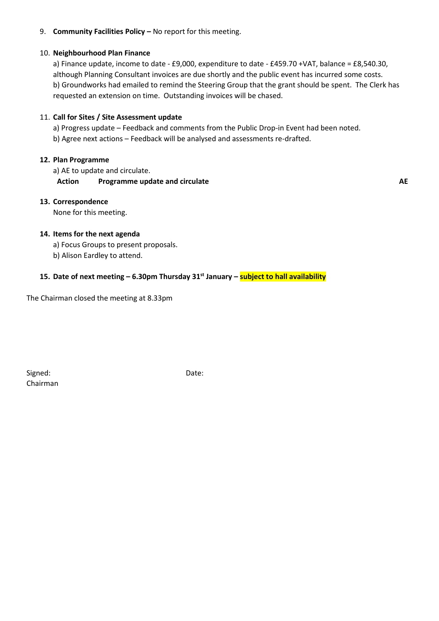### 9. **Community Facilities Policy –** No report for this meeting.

### 10. **Neighbourhood Plan Finance**

a) Finance update, income to date - £9,000, expenditure to date - £459.70 +VAT, balance = £8,540.30, although Planning Consultant invoices are due shortly and the public event has incurred some costs. b) Groundworks had emailed to remind the Steering Group that the grant should be spent. The Clerk has requested an extension on time. Outstanding invoices will be chased.

### 11. **Call for Sites / Site Assessment update**

a) Progress update – Feedback and comments from the Public Drop-in Event had been noted.

b) Agree next actions – Feedback will be analysed and assessments re-drafted.

#### **12. Plan Programme**

a) AE to update and circulate.

### **Action Programme update and circulate AE**

### **13. Correspondence**

None for this meeting.

### **14. Items for the next agenda**

- a) Focus Groups to present proposals.
- b) Alison Eardley to attend.

### **15. Date of next meeting – 6.30pm Thursday 31st January – subject to hall availability**

The Chairman closed the meeting at 8.33pm

Signed: Date: Chairman